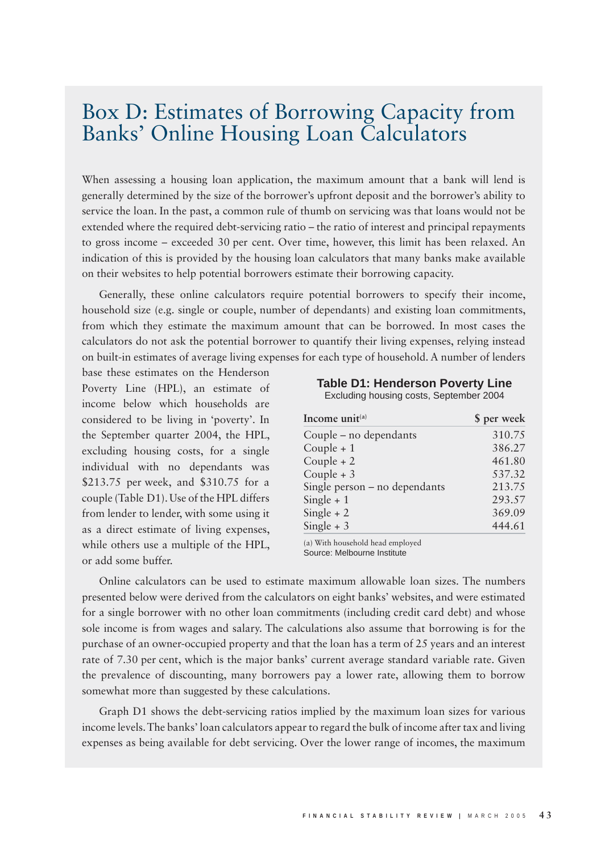## Box D: Estimates of Borrowing Capacity from Banks' Online Housing Loan Calculators

When assessing a housing loan application, the maximum amount that a bank will lend is generally determined by the size of the borrower's upfront deposit and the borrower's ability to service the loan. In the past, a common rule of thumb on servicing was that loans would not be extended where the required debt-servicing ratio – the ratio of interest and principal repayments to gross income – exceeded 30 per cent. Over time, however, this limit has been relaxed. An indication of this is provided by the housing loan calculators that many banks make available on their websites to help potential borrowers estimate their borrowing capacity.

Generally, these online calculators require potential borrowers to specify their income, household size (e.g. single or couple, number of dependants) and existing loan commitments, from which they estimate the maximum amount that can be borrowed. In most cases the calculators do not ask the potential borrower to quantify their living expenses, relying instead on built-in estimates of average living expenses for each type of household. A number of lenders

base these estimates on the Henderson Poverty Line (HPL), an estimate of income below which households are considered to be living in 'poverty'. In the September quarter 2004, the HPL, excluding housing costs, for a single individual with no dependants was \$213.75 per week, and \$310.75 for a couple (Table D1). Use of the HPL differs from lender to lender, with some using it as a direct estimate of living expenses, while others use a multiple of the HPL, or add some buffer.

**Table D1: Henderson Poverty Line**

| Excluding housing costs, September 2004 |  |
|-----------------------------------------|--|
|-----------------------------------------|--|

| Income unit $(a)$               | \$ per week |
|---------------------------------|-------------|
| Couple - no dependants          | 310.75      |
| Couple $+1$                     | 386.27      |
| Couple $+2$                     | 461.80      |
| Couple $+3$                     | 537.32      |
| Single person $-$ no dependants | 213.75      |
| Single $+1$                     | 293.57      |
| Single $+2$                     | 369.09      |
| Single $+3$                     | 444.61      |

(a) With household head employed Source: Melbourne Institute

Online calculators can be used to estimate maximum allowable loan sizes. The numbers presented below were derived from the calculators on eight banks' websites, and were estimated for a single borrower with no other loan commitments (including credit card debt) and whose sole income is from wages and salary. The calculations also assume that borrowing is for the purchase of an owner-occupied property and that the loan has a term of 25 years and an interest rate of 7.30 per cent, which is the major banks' current average standard variable rate. Given the prevalence of discounting, many borrowers pay a lower rate, allowing them to borrow somewhat more than suggested by these calculations.

Graph D1 shows the debt-servicing ratios implied by the maximum loan sizes for various income levels. The banks' loan calculators appear to regard the bulk of income after tax and living expenses as being available for debt servicing. Over the lower range of incomes, the maximum